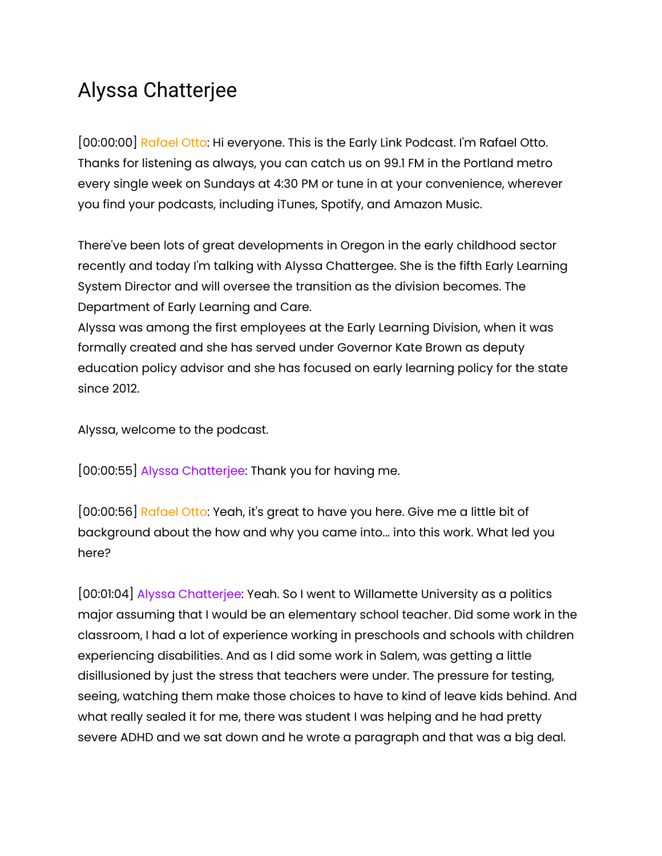## Alyssa Chatterjee

[00:00:00] Rafael Otto: Hi everyone. This is the Early Link Podcast. I'm Rafael Otto. Thanks for listening as always, you can catch us on 99.1 FM in the Portland metro every single week on Sundays at 4:30 PM or tune in at your convenience, wherever you find your podcasts, including iTunes, Spotify, and Amazon Music.

There've been lots of great developments in Oregon in the early childhood sector recently and today I'm talking with Alyssa Chattergee. She is the fifth Early Learning System Director and will oversee the transition as the division becomes. The Department of Early Learning and Care.

Alyssa was among the first employees at the Early Learning Division, when it was formally created and she has served under Governor Kate Brown as deputy education policy advisor and she has focused on early learning policy for the state since 2012.

Alyssa, welcome to the podcast.

[00:00:55] Alyssa Chatterjee: Thank you for having me.

[00:00:56] Rafael Otto: Yeah, it's great to have you here. Give me a little bit of background about the how and why you came into... into this work. What led you here?

[00:01:04] Alyssa Chatterjee: Yeah. So I went to Willamette University as a politics major assuming that I would be an elementary school teacher. Did some work in the classroom, I had a lot of experience working in preschools and schools with children experiencing disabilities. And as I did some work in Salem, was getting a little disillusioned by just the stress that teachers were under. The pressure for testing, seeing, watching them make those choices to have to kind of leave kids behind. And what really sealed it for me, there was student I was helping and he had pretty severe ADHD and we sat down and he wrote a paragraph and that was a big deal.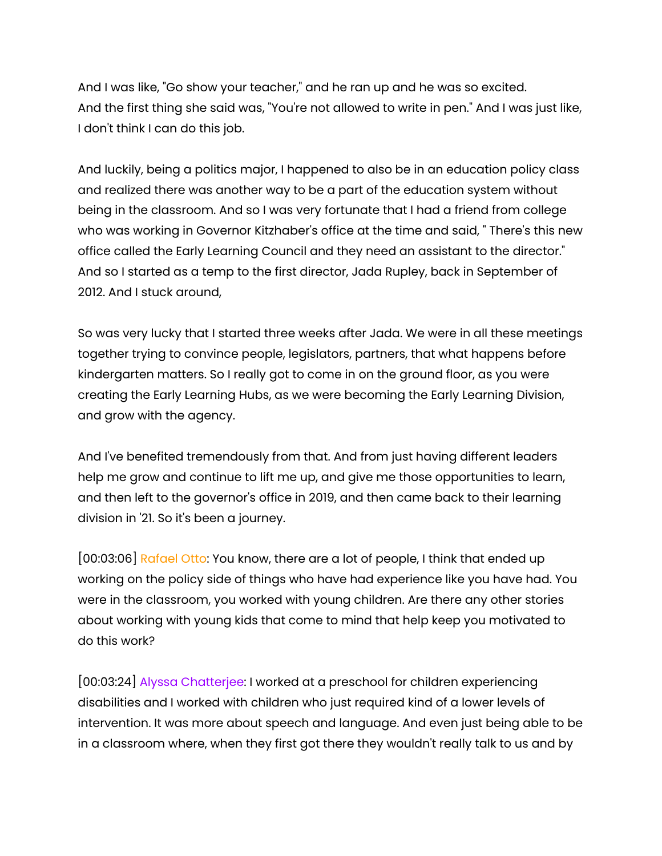And I was like, "Go show your teacher," and he ran up and he was so excited. And the first thing she said was, "You're not allowed to write in pen." And I was just like, I don't think I can do this job.

And luckily, being a politics major, I happened to also be in an education policy class and realized there was another way to be a part of the education system without being in the classroom. And so I was very fortunate that I had a friend from college who was working in Governor Kitzhaber's office at the time and said, " There's this new office called the Early Learning Council and they need an assistant to the director." And so I started as a temp to the first director, Jada Rupley, back in September of 2012. And I stuck around,

So was very lucky that I started three weeks after Jada. We were in all these meetings together trying to convince people, legislators, partners, that what happens before kindergarten matters. So I really got to come in on the ground floor, as you were creating the Early Learning Hubs, as we were becoming the Early Learning Division, and grow with the agency.

And I've benefited tremendously from that. And from just having different leaders help me grow and continue to lift me up, and give me those opportunities to learn, and then left to the governor's office in 2019, and then came back to their learning division in '21. So it's been a journey.

[00:03:06] Rafael Otto: You know, there are a lot of people, I think that ended up working on the policy side of things who have had experience like you have had. You were in the classroom, you worked with young children. Are there any other stories about working with young kids that come to mind that help keep you motivated to do this work?

[00:03:24] Alyssa Chatterjee: I worked at a preschool for children experiencing disabilities and I worked with children who just required kind of a lower levels of intervention. It was more about speech and language. And even just being able to be in a classroom where, when they first got there they wouldn't really talk to us and by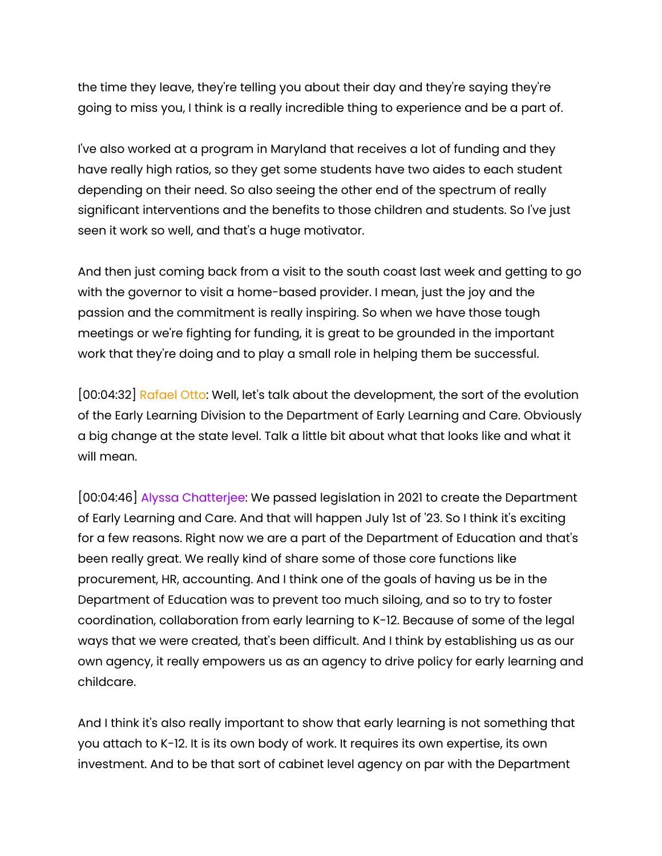the time they leave, they're telling you about their day and they're saying they're going to miss you, I think is a really incredible thing to experience and be a part of.

I've also worked at a program in Maryland that receives a lot of funding and they have really high ratios, so they get some students have two aides to each student depending on their need. So also seeing the other end of the spectrum of really significant interventions and the benefits to those children and students. So I've just seen it work so well, and that's a huge motivator.

And then just coming back from a visit to the south coast last week and getting to go with the governor to visit a home-based provider. I mean, just the joy and the passion and the commitment is really inspiring. So when we have those tough meetings or we're fighting for funding, it is great to be grounded in the important work that they're doing and to play a small role in helping them be successful.

[00:04:32] Rafael Otto: Well, let's talk about the development, the sort of the evolution of the Early Learning Division to the Department of Early Learning and Care. Obviously a big change at the state level. Talk a little bit about what that looks like and what it will mean.

[00:04:46] Alyssa Chatterjee: We passed legislation in 2021 to create the Department of Early Learning and Care. And that will happen July 1st of '23. So I think it's exciting for a few reasons. Right now we are a part of the Department of Education and that's been really great. We really kind of share some of those core functions like procurement, HR, accounting. And I think one of the goals of having us be in the Department of Education was to prevent too much siloing, and so to try to foster coordination, collaboration from early learning to K-12. Because of some of the legal ways that we were created, that's been difficult. And I think by establishing us as our own agency, it really empowers us as an agency to drive policy for early learning and childcare.

And I think it's also really important to show that early learning is not something that you attach to K-12. It is its own body of work. It requires its own expertise, its own investment. And to be that sort of cabinet level agency on par with the Department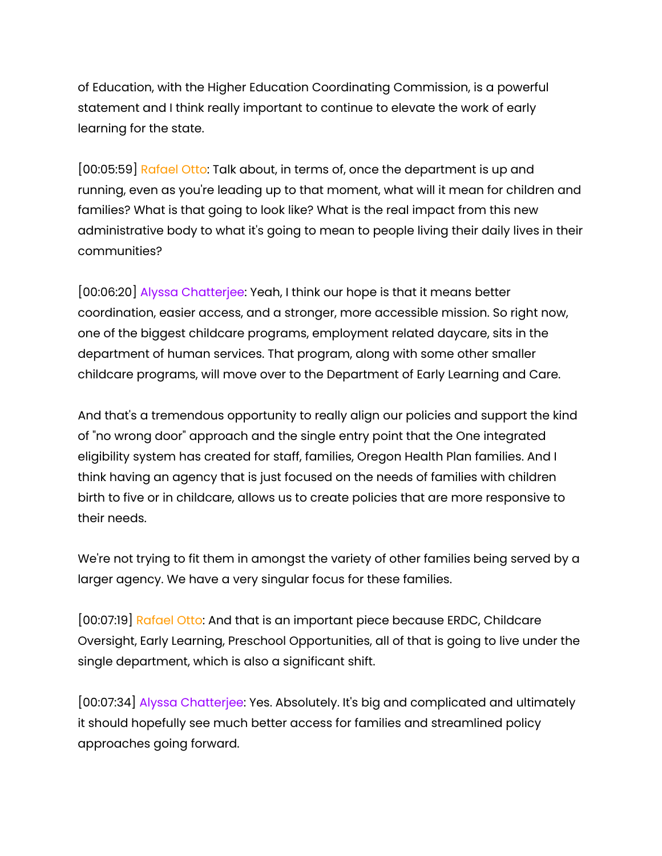of Education, with the Higher Education Coordinating Commission, is a powerful statement and I think really important to continue to elevate the work of early learning for the state.

[00:05:59] Rafael Otto: Talk about, in terms of, once the department is up and running, even as you're leading up to that moment, what will it mean for children and families? What is that going to look like? What is the real impact from this new administrative body to what it's going to mean to people living their daily lives in their communities?

[00:06:20] Alyssa Chatterjee: Yeah, I think our hope is that it means better coordination, easier access, and a stronger, more accessible mission. So right now, one of the biggest childcare programs, employment related daycare, sits in the department of human services. That program, along with some other smaller childcare programs, will move over to the Department of Early Learning and Care.

And that's a tremendous opportunity to really align our policies and support the kind of "no wrong door" approach and the single entry point that the One integrated eligibility system has created for staff, families, Oregon Health Plan families. And I think having an agency that is just focused on the needs of families with children birth to five or in childcare, allows us to create policies that are more responsive to their needs.

We're not trying to fit them in amongst the variety of other families being served by a larger agency. We have a very singular focus for these families.

[00:07:19] Rafael Otto: And that is an important piece because ERDC, Childcare Oversight, Early Learning, Preschool Opportunities, all of that is going to live under the single department, which is also a significant shift.

[00:07:34] Alyssa Chatterjee: Yes. Absolutely. It's big and complicated and ultimately it should hopefully see much better access for families and streamlined policy approaches going forward.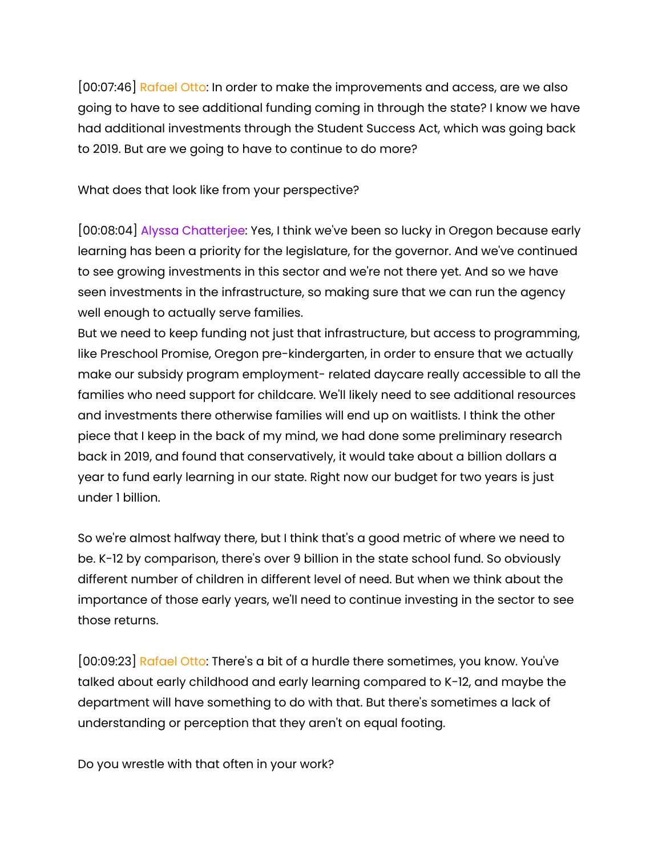[00:07:46] Rafael Otto: In order to make the improvements and access, are we also going to have to see additional funding coming in through the state? I know we have had additional investments through the Student Success Act, which was going back to 2019. But are we going to have to continue to do more?

What does that look like from your perspective?

[00:08:04] Alyssa Chatterjee: Yes, I think we've been so lucky in Oregon because early learning has been a priority for the legislature, for the governor. And we've continued to see growing investments in this sector and we're not there yet. And so we have seen investments in the infrastructure, so making sure that we can run the agency well enough to actually serve families.

But we need to keep funding not just that infrastructure, but access to programming, like Preschool Promise, Oregon pre-kindergarten, in order to ensure that we actually make our subsidy program employment- related daycare really accessible to all the families who need support for childcare. We'll likely need to see additional resources and investments there otherwise families will end up on waitlists. I think the other piece that I keep in the back of my mind, we had done some preliminary research back in 2019, and found that conservatively, it would take about a billion dollars a year to fund early learning in our state. Right now our budget for two years is just under 1 billion.

So we're almost halfway there, but I think that's a good metric of where we need to be. K-12 by comparison, there's over 9 billion in the state school fund. So obviously different number of children in different level of need. But when we think about the importance of those early years, we'll need to continue investing in the sector to see those returns.

[00:09:23] Rafael Otto: There's a bit of a hurdle there sometimes, you know. You've talked about early childhood and early learning compared to K-12, and maybe the department will have something to do with that. But there's sometimes a lack of understanding or perception that they aren't on equal footing.

Do you wrestle with that often in your work?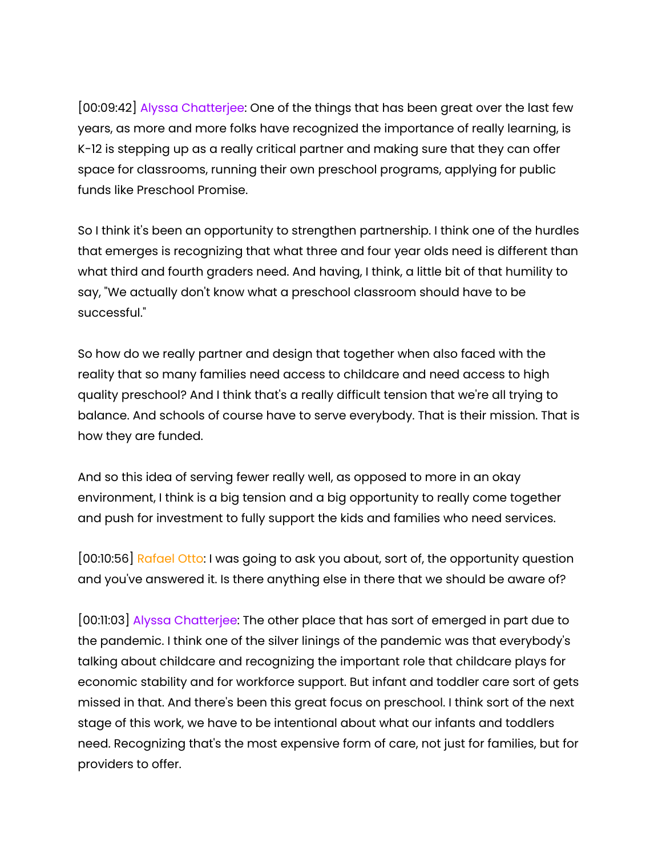[00:09:42] Alyssa Chatterjee: One of the things that has been great over the last few years, as more and more folks have recognized the importance of really learning, is K-12 is stepping up as a really critical partner and making sure that they can offer space for classrooms, running their own preschool programs, applying for public funds like Preschool Promise.

So I think it's been an opportunity to strengthen partnership. I think one of the hurdles that emerges is recognizing that what three and four year olds need is different than what third and fourth graders need. And having, I think, a little bit of that humility to say, "We actually don't know what a preschool classroom should have to be successful."

So how do we really partner and design that together when also faced with the reality that so many families need access to childcare and need access to high quality preschool? And I think that's a really difficult tension that we're all trying to balance. And schools of course have to serve everybody. That is their mission. That is how they are funded.

And so this idea of serving fewer really well, as opposed to more in an okay environment, I think is a big tension and a big opportunity to really come together and push for investment to fully support the kids and families who need services.

[00:10:56] Rafael Otto: I was going to ask you about, sort of, the opportunity question and you've answered it. Is there anything else in there that we should be aware of?

[00:11:03] Alyssa Chatterjee: The other place that has sort of emerged in part due to the pandemic. I think one of the silver linings of the pandemic was that everybody's talking about childcare and recognizing the important role that childcare plays for economic stability and for workforce support. But infant and toddler care sort of gets missed in that. And there's been this great focus on preschool. I think sort of the next stage of this work, we have to be intentional about what our infants and toddlers need. Recognizing that's the most expensive form of care, not just for families, but for providers to offer.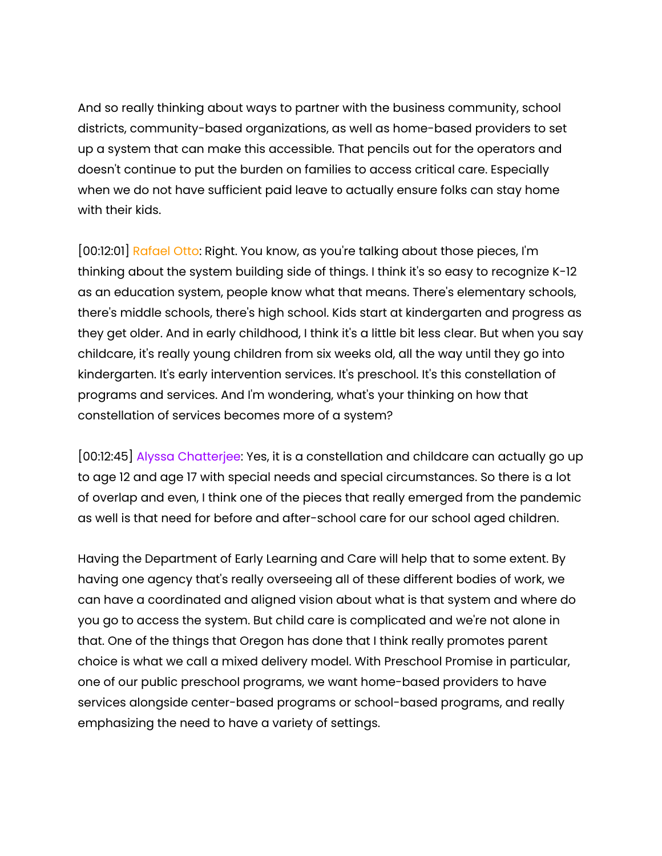And so really thinking about ways to partner with the business community, school districts, community-based organizations, as well as home-based providers to set up a system that can make this accessible. That pencils out for the operators and doesn't continue to put the burden on families to access critical care. Especially when we do not have sufficient paid leave to actually ensure folks can stay home with their kids.

[00:12:01] Rafael Otto: Right. You know, as you're talking about those pieces, I'm thinking about the system building side of things. I think it's so easy to recognize K-12 as an education system, people know what that means. There's elementary schools, there's middle schools, there's high school. Kids start at kindergarten and progress as they get older. And in early childhood, I think it's a little bit less clear. But when you say childcare, it's really young children from six weeks old, all the way until they go into kindergarten. It's early intervention services. It's preschool. It's this constellation of programs and services. And I'm wondering, what's your thinking on how that constellation of services becomes more of a system?

[00:12:45] Alyssa Chatterjee: Yes, it is a constellation and childcare can actually go up to age 12 and age 17 with special needs and special circumstances. So there is a lot of overlap and even, I think one of the pieces that really emerged from the pandemic as well is that need for before and after-school care for our school aged children.

Having the Department of Early Learning and Care will help that to some extent. By having one agency that's really overseeing all of these different bodies of work, we can have a coordinated and aligned vision about what is that system and where do you go to access the system. But child care is complicated and we're not alone in that. One of the things that Oregon has done that I think really promotes parent choice is what we call a mixed delivery model. With Preschool Promise in particular, one of our public preschool programs, we want home-based providers to have services alongside center-based programs or school-based programs, and really emphasizing the need to have a variety of settings.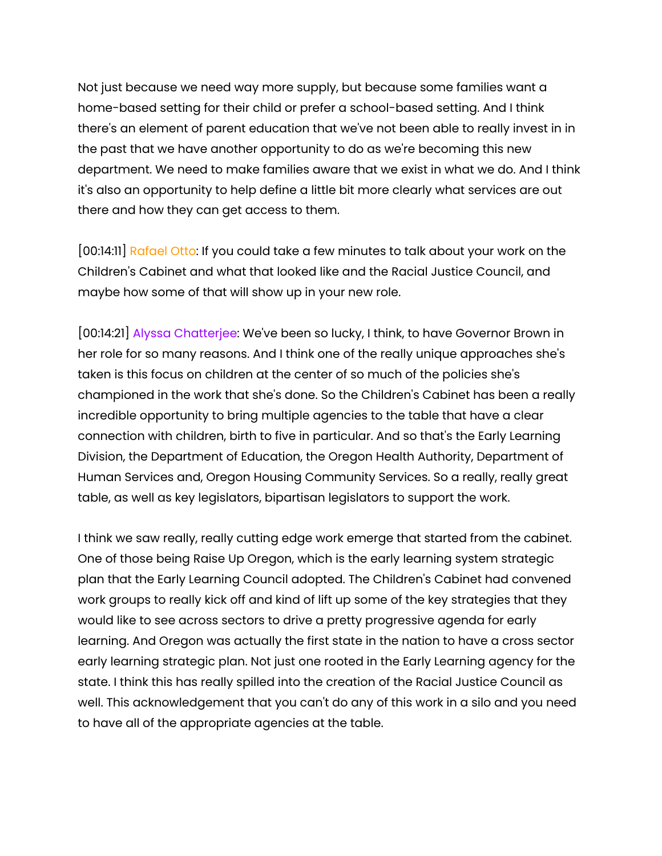Not just because we need way more supply, but because some families want a home-based setting for their child or prefer a school-based setting. And I think there's an element of parent education that we've not been able to really invest in in the past that we have another opportunity to do as we're becoming this new department. We need to make families aware that we exist in what we do. And I think it's also an opportunity to help define a little bit more clearly what services are out there and how they can get access to them.

[00:14:11] Rafael Otto: If you could take a few minutes to talk about your work on the Children's Cabinet and what that looked like and the Racial Justice Council, and maybe how some of that will show up in your new role.

[00:14:21] Alyssa Chatterjee: We've been so lucky, I think, to have Governor Brown in her role for so many reasons. And I think one of the really unique approaches she's taken is this focus on children at the center of so much of the policies she's championed in the work that she's done. So the Children's Cabinet has been a really incredible opportunity to bring multiple agencies to the table that have a clear connection with children, birth to five in particular. And so that's the Early Learning Division, the Department of Education, the Oregon Health Authority, Department of Human Services and, Oregon Housing Community Services. So a really, really great table, as well as key legislators, bipartisan legislators to support the work.

I think we saw really, really cutting edge work emerge that started from the cabinet. One of those being Raise Up Oregon, which is the early learning system strategic plan that the Early Learning Council adopted. The Children's Cabinet had convened work groups to really kick off and kind of lift up some of the key strategies that they would like to see across sectors to drive a pretty progressive agenda for early learning. And Oregon was actually the first state in the nation to have a cross sector early learning strategic plan. Not just one rooted in the Early Learning agency for the state. I think this has really spilled into the creation of the Racial Justice Council as well. This acknowledgement that you can't do any of this work in a silo and you need to have all of the appropriate agencies at the table.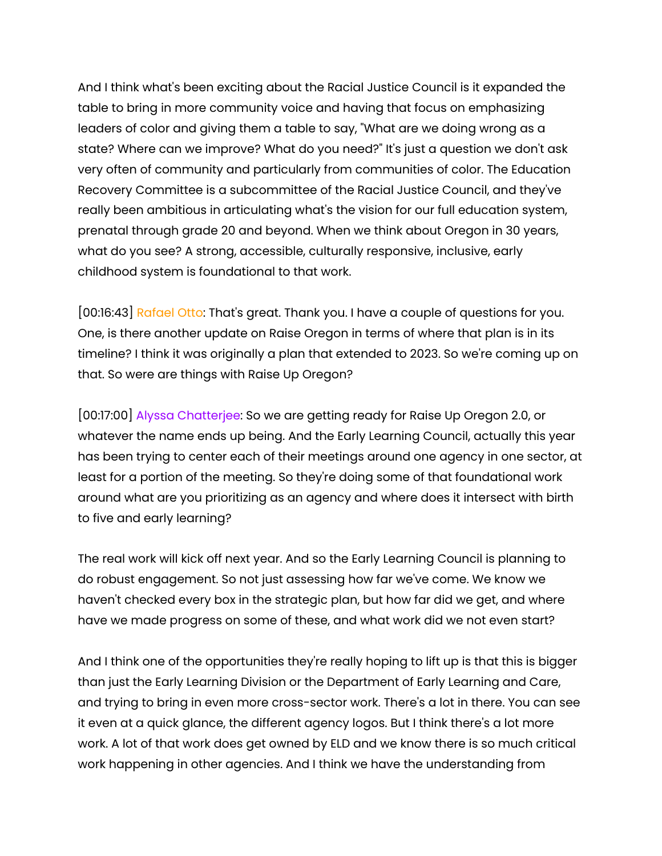And I think what's been exciting about the Racial Justice Council is it expanded the table to bring in more community voice and having that focus on emphasizing leaders of color and giving them a table to say, "What are we doing wrong as a state? Where can we improve? What do you need?" It's just a question we don't ask very often of community and particularly from communities of color. The Education Recovery Committee is a subcommittee of the Racial Justice Council, and they've really been ambitious in articulating what's the vision for our full education system, prenatal through grade 20 and beyond. When we think about Oregon in 30 years, what do you see? A strong, accessible, culturally responsive, inclusive, early childhood system is foundational to that work.

[00:16:43] Rafael Otto: That's great. Thank you. I have a couple of questions for you. One, is there another update on Raise Oregon in terms of where that plan is in its timeline? I think it was originally a plan that extended to 2023. So we're coming up on that. So were are things with Raise Up Oregon?

[00:17:00] Alyssa Chatterjee: So we are getting ready for Raise Up Oregon 2.0, or whatever the name ends up being. And the Early Learning Council, actually this year has been trying to center each of their meetings around one agency in one sector, at least for a portion of the meeting. So they're doing some of that foundational work around what are you prioritizing as an agency and where does it intersect with birth to five and early learning?

The real work will kick off next year. And so the Early Learning Council is planning to do robust engagement. So not just assessing how far we've come. We know we haven't checked every box in the strategic plan, but how far did we get, and where have we made progress on some of these, and what work did we not even start?

And I think one of the opportunities they're really hoping to lift up is that this is bigger than just the Early Learning Division or the Department of Early Learning and Care, and trying to bring in even more cross-sector work. There's a lot in there. You can see it even at a quick glance, the different agency logos. But I think there's a lot more work. A lot of that work does get owned by ELD and we know there is so much critical work happening in other agencies. And I think we have the understanding from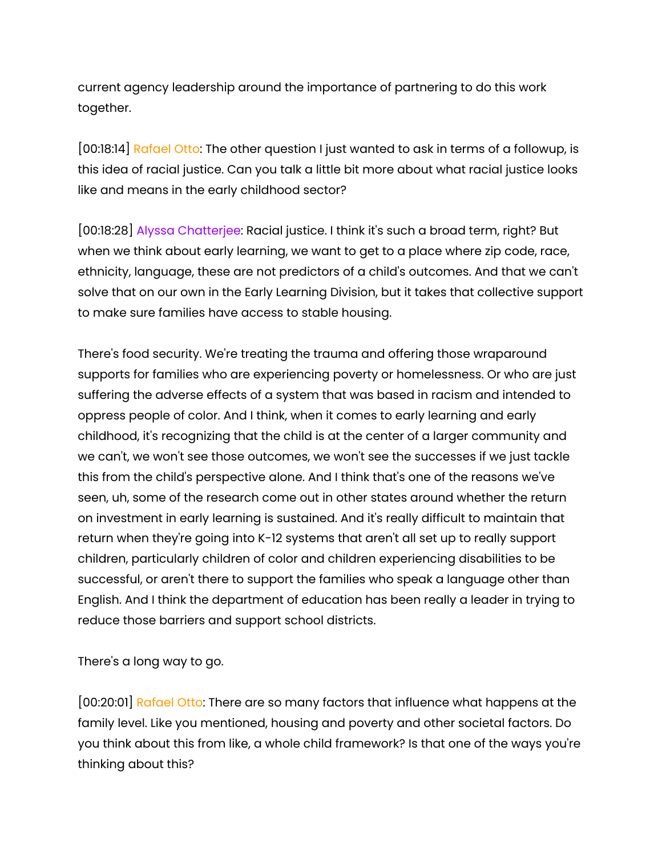current agency leadership around the importance of partnering to do this work together.

[00:18:14] Rafael Otto: The other question I just wanted to ask in terms of a followup, is this idea of racial justice. Can you talk a little bit more about what racial justice looks like and means in the early childhood sector?

[00:18:28] Alyssa Chatterjee: Racial justice. I think it's such a broad term, right? But when we think about early learning, we want to get to a place where zip code, race, ethnicity, language, these are not predictors of a child's outcomes. And that we can't solve that on our own in the Early Learning Division, but it takes that collective support to make sure families have access to stable housing.

There's food security. We're treating the trauma and offering those wraparound supports for families who are experiencing poverty or homelessness. Or who are just suffering the adverse effects of a system that was based in racism and intended to oppress people of color. And I think, when it comes to early learning and early childhood, it's recognizing that the child is at the center of a larger community and we can't, we won't see those outcomes, we won't see the successes if we just tackle this from the child's perspective alone. And I think that's one of the reasons we've seen, uh, some of the research come out in other states around whether the return on investment in early learning is sustained. And it's really difficult to maintain that return when they're going into K-12 systems that aren't all set up to really support children, particularly children of color and children experiencing disabilities to be successful, or aren't there to support the families who speak a language other than English. And I think the department of education has been really a leader in trying to reduce those barriers and support school districts.

There's a long way to go.

[00:20:01] Rafael Otto: There are so many factors that influence what happens at the family level. Like you mentioned, housing and poverty and other societal factors. Do you think about this from like, a whole child framework? Is that one of the ways you're thinking about this?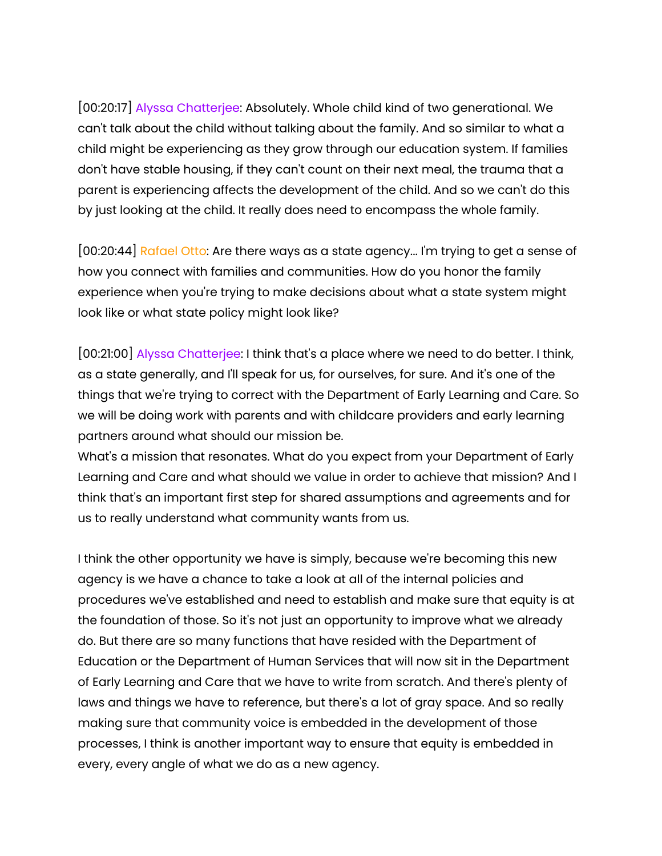[00:20:17] Alyssa Chatterjee: Absolutely. Whole child kind of two generational. We can't talk about the child without talking about the family. And so similar to what a child might be experiencing as they grow through our education system. If families don't have stable housing, if they can't count on their next meal, the trauma that a parent is experiencing affects the development of the child. And so we can't do this by just looking at the child. It really does need to encompass the whole family.

[00:20:44] Rafael Otto: Are there ways as a state agency... I'm trying to get a sense of how you connect with families and communities. How do you honor the family experience when you're trying to make decisions about what a state system might look like or what state policy might look like?

[00:21:00] Alyssa Chatterjee: I think that's a place where we need to do better. I think, as a state generally, and I'll speak for us, for ourselves, for sure. And it's one of the things that we're trying to correct with the Department of Early Learning and Care. So we will be doing work with parents and with childcare providers and early learning partners around what should our mission be.

What's a mission that resonates. What do you expect from your Department of Early Learning and Care and what should we value in order to achieve that mission? And I think that's an important first step for shared assumptions and agreements and for us to really understand what community wants from us.

I think the other opportunity we have is simply, because we're becoming this new agency is we have a chance to take a look at all of the internal policies and procedures we've established and need to establish and make sure that equity is at the foundation of those. So it's not just an opportunity to improve what we already do. But there are so many functions that have resided with the Department of Education or the Department of Human Services that will now sit in the Department of Early Learning and Care that we have to write from scratch. And there's plenty of laws and things we have to reference, but there's a lot of gray space. And so really making sure that community voice is embedded in the development of those processes, I think is another important way to ensure that equity is embedded in every, every angle of what we do as a new agency.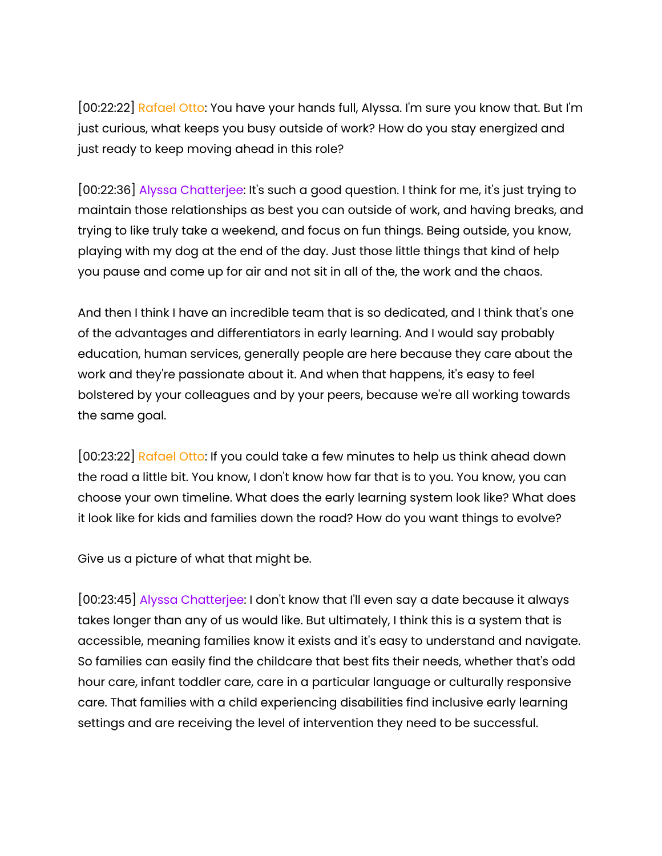[00:22:22] Rafael Otto: You have your hands full, Alyssa. I'm sure you know that. But I'm just curious, what keeps you busy outside of work? How do you stay energized and just ready to keep moving ahead in this role?

[00:22:36] Alyssa Chatterjee: It's such a good question. I think for me, it's just trying to maintain those relationships as best you can outside of work, and having breaks, and trying to like truly take a weekend, and focus on fun things. Being outside, you know, playing with my dog at the end of the day. Just those little things that kind of help you pause and come up for air and not sit in all of the, the work and the chaos.

And then I think I have an incredible team that is so dedicated, and I think that's one of the advantages and differentiators in early learning. And I would say probably education, human services, generally people are here because they care about the work and they're passionate about it. And when that happens, it's easy to feel bolstered by your colleagues and by your peers, because we're all working towards the same goal.

[00:23:22] Rafael Otto: If you could take a few minutes to help us think ahead down the road a little bit. You know, I don't know how far that is to you. You know, you can choose your own timeline. What does the early learning system look like? What does it look like for kids and families down the road? How do you want things to evolve?

Give us a picture of what that might be.

[00:23:45] Alyssa Chatterjee: I don't know that I'll even say a date because it always takes longer than any of us would like. But ultimately, I think this is a system that is accessible, meaning families know it exists and it's easy to understand and navigate. So families can easily find the childcare that best fits their needs, whether that's odd hour care, infant toddler care, care in a particular language or culturally responsive care. That families with a child experiencing disabilities find inclusive early learning settings and are receiving the level of intervention they need to be successful.